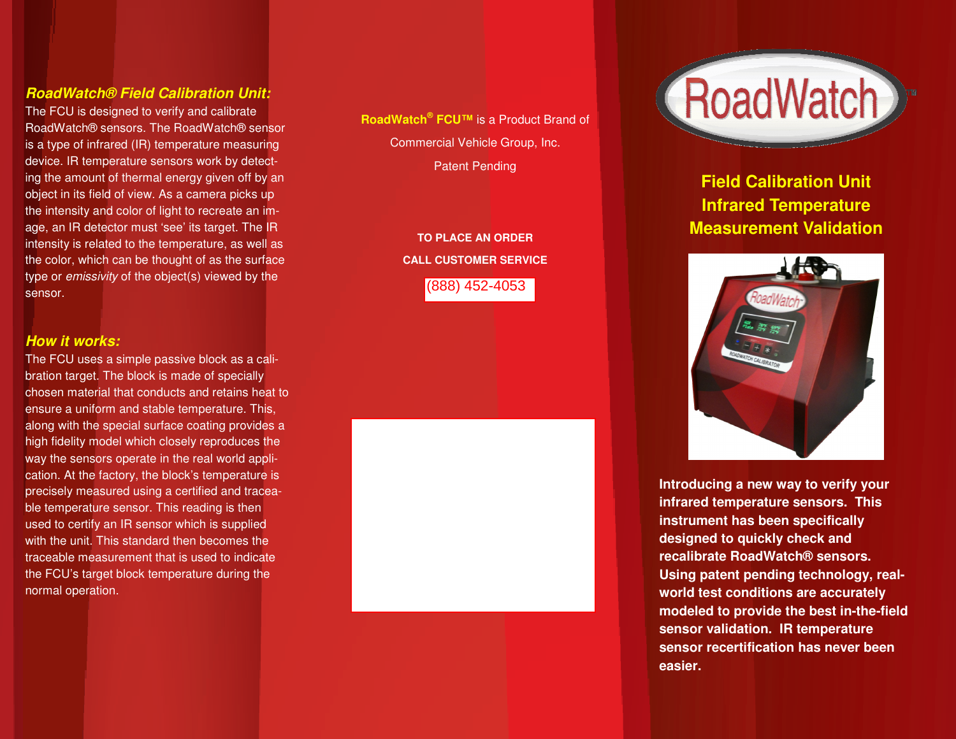#### **RoadWatch® Field Calibration Unit:**

The FCU is designed to verify and calibrate RoadWatch® sensors. The RoadWatch® sensor is a type of infrared (IR) temperature measuring device. IR temperature sensors work by detecting the amount of thermal energy given off by an object in its field of view. As a camera picks up the intensity and color of light to recreate an image, an IR detector must 'see' its target. The IR intensity is related to the temperature, as well as the color, which can be thought of as the surface type or emissivity of the object(s) viewed by the sensor.

#### **How it works:**

The FCU uses a simple passive block as a calibration target. The block is made of specially chosen material that conducts and retains heat to ensure a uniform and stable temperature. This, along with the special surface coating provides a high fidelity model which closely reproduces the way the sensors operate in the real world application. At the factory, the block's temperature is precisely measured using a certified and traceable temperature sensor. This reading is then used to certify an IR sensor which is supplied with the unit. This standard then becomes the traceable measurement that is used to indicate the FCU's target block temperature during the normal operation.

**RoadWatch® FCU™** is a Product Brand of Commercial Vehicle Group, Inc. Patent Pending

> **TO PLACE AN ORDER CALL CUSTOMER SERVICE 1-800-459-7328**  (888) 452-4053





**Field Calibration Unit Infrared Temperature Measurement Validation** 



**Introducing a new way to verify your infrared temperature sensors. This instrument has been specifically designed to quickly check and recalibrate RoadWatch® sensors. Using patent pending technology, realworld test conditions are accurately modeled to provide the best in-the-field sensor validation. IR temperature sensor recertification has never been easier.**